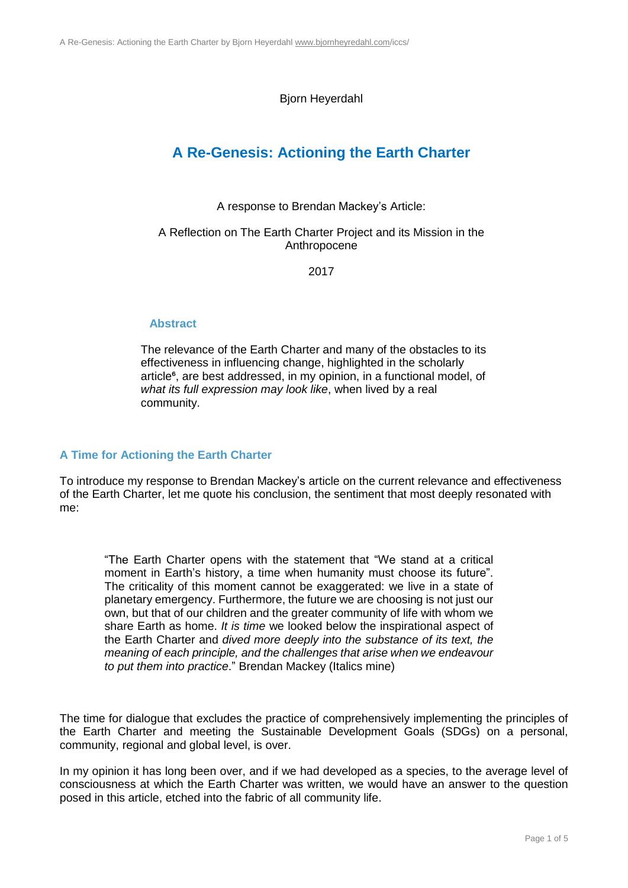Bjorn Heyerdahl

# **A Re-Genesis: Actioning the Earth Charter**

A response to Brendan Mackey's Article:

### A Reflection on The Earth Charter Project and its Mission in the Anthropocene

2017

# **Abstract**

The relevance of the Earth Charter and many of the obstacles to its effectiveness in influencing change, highlighted in the scholarly article<sup>6</sup>, are best addressed, in my opinion, in a functional model, of *what its full expression may look like*, when lived by a real community.

# **A Time for Actioning the Earth Charter**

To introduce my response to Brendan Mackey's article on the current relevance and effectiveness of the Earth Charter, let me quote his conclusion, the sentiment that most deeply resonated with me:

"The Earth Charter opens with the statement that "We stand at a critical moment in Earth's history, a time when humanity must choose its future". The criticality of this moment cannot be exaggerated: we live in a state of planetary emergency. Furthermore, the future we are choosing is not just our own, but that of our children and the greater community of life with whom we share Earth as home. *It is time* we looked below the inspirational aspect of the Earth Charter and *dived more deeply into the substance of its text, the meaning of each principle, and the challenges that arise when we endeavour to put them into practice*." Brendan Mackey (Italics mine)

The time for dialogue that excludes the practice of comprehensively implementing the principles of the Earth Charter and meeting the Sustainable Development Goals (SDGs) on a personal, community, regional and global level, is over.

In my opinion it has long been over, and if we had developed as a species, to the average level of consciousness at which the Earth Charter was written, we would have an answer to the question posed in this article, etched into the fabric of all community life.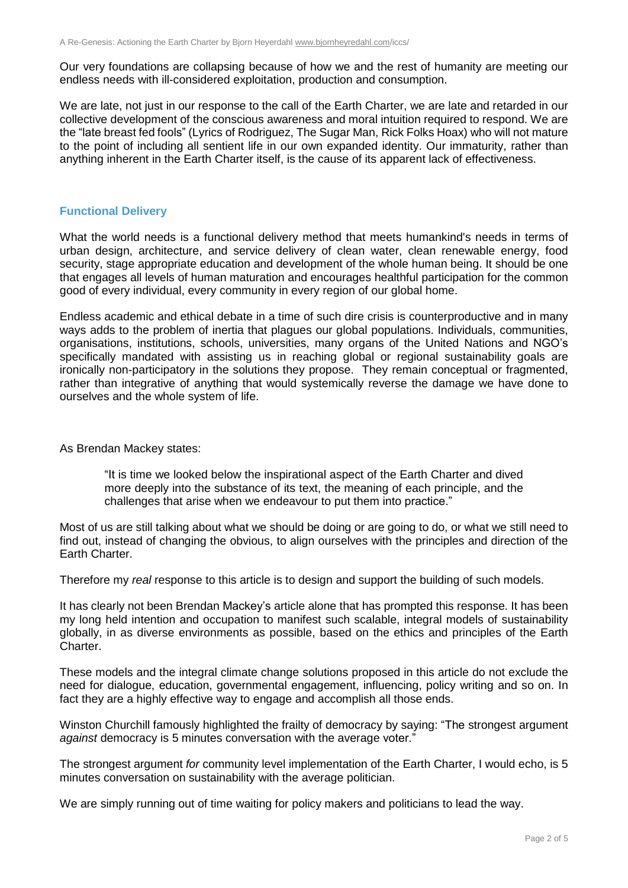Our very foundations are collapsing because of how we and the rest of humanity are meeting our endless needs with ill-considered exploitation, production and consumption.

We are late, not just in our response to the call of the Earth Charter, we are late and retarded in our collective development of the conscious awareness and moral intuition required to respond. We are the "late breast fed fools" (Lyrics of Rodriguez, The Sugar Man, Rick Folks Hoax) who will not mature to the point of including all sentient life in our own expanded identity. Our immaturity, rather than anything inherent in the Earth Charter itself, is the cause of its apparent lack of effectiveness.

#### **Functional Delivery**

What the world needs is a functional delivery method that meets humankind's needs in terms of urban design, architecture, and service delivery of clean water, clean renewable energy, food security, stage appropriate education and development of the whole human being. It should be one that engages all levels of human maturation and encourages healthful participation for the common good of every individual, every community in every region of our global home.

Endless academic and ethical debate in a time of such dire crisis is counterproductive and in many ways adds to the problem of inertia that plagues our global populations. Individuals, communities, organisations, institutions, schools, universities, many organs of the United Nations and NGO's specifically mandated with assisting us in reaching global or regional sustainability goals are ironically non-participatory in the solutions they propose. They remain conceptual or fragmented, rather than integrative of anything that would systemically reverse the damage we have done to ourselves and the whole system of life.

As Brendan Mackey states:

"It is time we looked below the inspirational aspect of the Earth Charter and dived more deeply into the substance of its text, the meaning of each principle, and the challenges that arise when we endeavour to put them into practice."

Most of us are still talking about what we should be doing or are going to do, or what we still need to find out, instead of changing the obvious, to align ourselves with the principles and direction of the Earth Charter.

Therefore my *real* response to this article is to design and support the building of such models.

It has clearly not been Brendan Mackey's article alone that has prompted this response. It has been my long held intention and occupation to manifest such scalable, integral models of sustainability globally, in as diverse environments as possible, based on the ethics and principles of the Earth Charter.

These models and the integral climate change solutions proposed in this article do not exclude the need for dialogue, education, governmental engagement, influencing, policy writing and so on. In fact they are a highly effective way to engage and accomplish all those ends.

Winston Churchill famously highlighted the frailty of democracy by saying: "The strongest argument *against* democracy is 5 minutes conversation with the average voter."

The strongest argument *for* community level implementation of the Earth Charter, I would echo, is 5 minutes conversation on sustainability with the average politician.

We are simply running out of time waiting for policy makers and politicians to lead the way.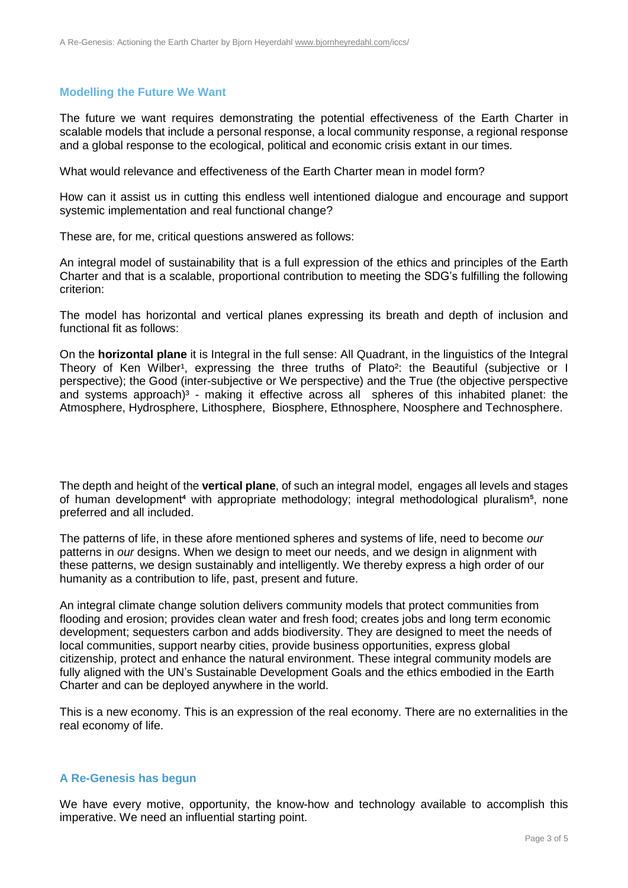### **Modelling the Future We Want**

The future we want requires demonstrating the potential effectiveness of the Earth Charter in scalable models that include a personal response, a local community response, a regional response and a global response to the ecological, political and economic crisis extant in our times.

What would relevance and effectiveness of the Earth Charter mean in model form?

How can it assist us in cutting this endless well intentioned dialogue and encourage and support systemic implementation and real functional change?

These are, for me, critical questions answered as follows:

An integral model of sustainability that is a full expression of the ethics and principles of the Earth Charter and that is a scalable, proportional contribution to meeting the SDG's fulfilling the following criterion:

The model has horizontal and vertical planes expressing its breath and depth of inclusion and functional fit as follows:

On the **horizontal plane** it is Integral in the full sense: All Quadrant, in the linguistics of the Integral Theory of Ken Wilber<sup>1</sup>, expressing the three truths of Plato<sup>2</sup>: the Beautiful (subjective or I perspective); the Good (inter-subjective or We perspective) and the True (the objective perspective and systems approach)<sup>3</sup> - making it effective across all spheres of this inhabited planet: the Atmosphere, Hydrosphere, Lithosphere, Biosphere, Ethnosphere, Noosphere and Technosphere.

The depth and height of the **vertical plane**, of such an integral model, engages all levels and stages of human development<sup>4</sup> with appropriate methodology; integral methodological pluralism<sup>5</sup>, none preferred and all included.

The patterns of life, in these afore mentioned spheres and systems of life, need to become *our* patterns in *our* designs. When we design to meet our needs, and we design in alignment with these patterns, we design sustainably and intelligently. We thereby express a high order of our humanity as a contribution to life, past, present and future.

An integral climate change solution delivers community models that protect communities from flooding and erosion; provides clean water and fresh food; creates jobs and long term economic development; sequesters carbon and adds biodiversity. They are designed to meet the needs of local communities, support nearby cities, provide business opportunities, express global citizenship, protect and enhance the natural environment. These integral community models are fully aligned with the UN's Sustainable Development Goals and the ethics embodied in the Earth Charter and can be deployed anywhere in the world.

This is a new economy. This is an expression of the real economy. There are no externalities in the real economy of life.

#### **A Re-Genesis has begun**

We have every motive, opportunity, the know-how and technology available to accomplish this imperative. We need an influential starting point.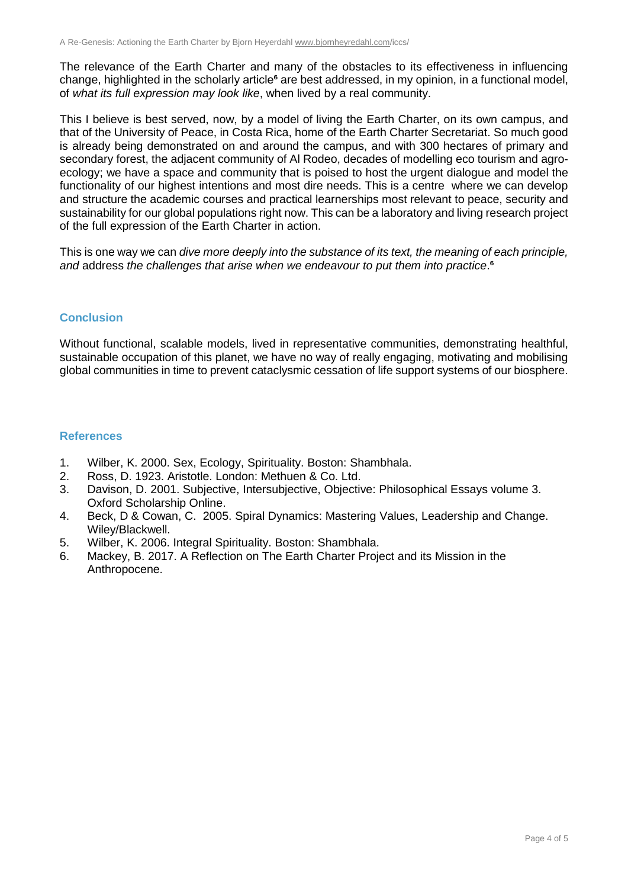The relevance of the Earth Charter and many of the obstacles to its effectiveness in influencing change, highlighted in the scholarly article<sup>6</sup> are best addressed, in my opinion, in a functional model, of *what its full expression may look like*, when lived by a real community.

This I believe is best served, now, by a model of living the Earth Charter, on its own campus, and that of the University of Peace, in Costa Rica, home of the Earth Charter Secretariat. So much good is already being demonstrated on and around the campus, and with 300 hectares of primary and secondary forest, the adjacent community of Al Rodeo, decades of modelling eco tourism and agroecology; we have a space and community that is poised to host the urgent dialogue and model the functionality of our highest intentions and most dire needs. This is a centre where we can develop and structure the academic courses and practical learnerships most relevant to peace, security and sustainability for our global populations right now. This can be a laboratory and living research project of the full expression of the Earth Charter in action.

This is one way we can *dive more deeply into the substance of its text, the meaning of each principle, and* address *the challenges that arise when we endeavour to put them into practice*.⁶

# **Conclusion**

Without functional, scalable models, lived in representative communities, demonstrating healthful, sustainable occupation of this planet, we have no way of really engaging, motivating and mobilising global communities in time to prevent cataclysmic cessation of life support systems of our biosphere.

#### **References**

- 1. Wilber, K. 2000. Sex, Ecology, Spirituality. Boston: Shambhala.
- 2. Ross, D. 1923. Aristotle. London: Methuen & Co. Ltd.
- 3. Davison, D. 2001. Subjective, Intersubjective, Objective: Philosophical Essays volume 3. Oxford Scholarship Online.
- 4. Beck, D & Cowan, C. 2005. Spiral Dynamics: Mastering Values, Leadership and Change. Wiley/Blackwell.
- 5. Wilber, K. 2006. Integral Spirituality. Boston: Shambhala.
- 6. Mackey, B. 2017. A Reflection on The Earth Charter Project and its Mission in the Anthropocene.